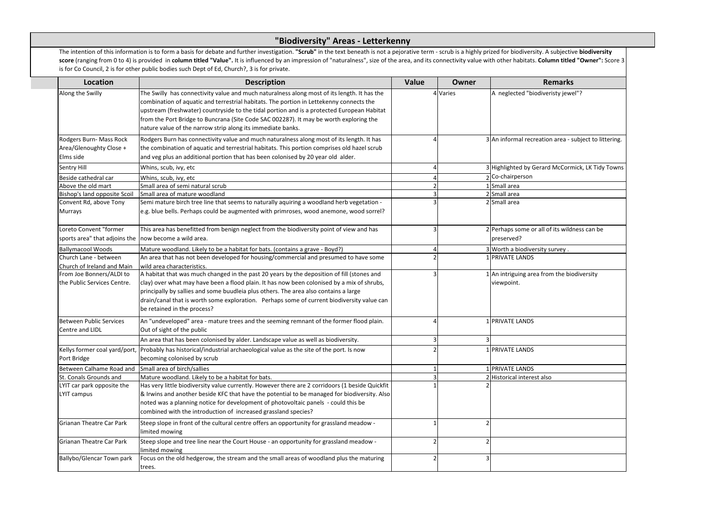The intention of this information is to form a basis for debate and further investigation. "Scrub" in the text beneath is not a pejorative term - scrub is a highly prized for biodiversit score (ranging from 0 to 4) is provided in column titled "Value". It is influenced by an impression of "naturalness", size of the area, and its connectivity value with other habitats. is for Co Council, 2 is for other public bodies such Dept of Ed, Church?, 3 is for private.

| <b>Location</b>                                                                 | <b>Description</b>                                                                                                                                                                                                                                                                                                                                                                                                                            | <b>Value</b> | <b>Owner</b> | <b>Remarks</b>                                             |
|---------------------------------------------------------------------------------|-----------------------------------------------------------------------------------------------------------------------------------------------------------------------------------------------------------------------------------------------------------------------------------------------------------------------------------------------------------------------------------------------------------------------------------------------|--------------|--------------|------------------------------------------------------------|
| Along the Swilly                                                                | The Swilly has connectivity value and much naturalness along most of its length. It has the<br>combination of aquatic and terrestrial habitats. The portion in Lettekenny connects the<br>upstream (freshwater) countryside to the tidal portion and is a protected European Habitat<br>from the Port Bridge to Buncrana (Site Code SAC 002287). It may be worth exploring the<br>nature value of the narrow strip along its immediate banks. |              | 4 Varies     | A neglected "biodiveristy jewel"?                          |
| Rodgers Burn- Mass Rock<br>Area/Glenoughty Close +<br>Elms side                 | Rodgers Burn has connectivity value and much naturalness along most of its length. It has<br>the combination of aquatic and terrestrial habitats. This portion comprises old hazel scrub<br>and veg plus an additional portion that has been colonised by 20 year old alder.                                                                                                                                                                  |              |              | 3 An informal recreation area - subject to littering.      |
| Sentry Hill                                                                     | Whins, scub, ivy, etc                                                                                                                                                                                                                                                                                                                                                                                                                         |              |              | 3 Highlighted by Gerard McCormick, LK Tidy Towns           |
| Beside cathedral car                                                            | Whins, scub, ivy, etc                                                                                                                                                                                                                                                                                                                                                                                                                         |              |              | 2 Co-chairperson                                           |
| Above the old mart                                                              | Small area of semi natural scrub                                                                                                                                                                                                                                                                                                                                                                                                              |              |              | Small area                                                 |
| Bishop's land opposite Scoil                                                    | Small area of mature woodland                                                                                                                                                                                                                                                                                                                                                                                                                 |              |              | 2 Small area                                               |
| Convent Rd, above Tony<br>Murrays                                               | Semi mature birch tree line that seems to naturally aquiring a woodland herb vegetation -<br>e.g. blue bells. Perhaps could be augmented with primroses, wood anemone, wood sorrel?                                                                                                                                                                                                                                                           |              |              | 2 Small area                                               |
| Loreto Convent "former<br>sports area" that adjoins the now become a wild area. | This area has benefitted from benign neglect from the biodiversity point of view and has                                                                                                                                                                                                                                                                                                                                                      |              |              | 2 Perhaps some or all of its wildness can be<br>preserved? |
| <b>Ballymacool Woods</b>                                                        | Mature woodland. Likely to be a habitat for bats. (contains a grave - Boyd?)                                                                                                                                                                                                                                                                                                                                                                  |              |              | 3 Worth a biodiversity survey.                             |
| Church Lane - between                                                           | An area that has not been developed for housing/commercial and presumed to have some                                                                                                                                                                                                                                                                                                                                                          |              |              | 1 PRIVATE LANDS                                            |
| Church of Ireland and Main                                                      | wild area characteristics.                                                                                                                                                                                                                                                                                                                                                                                                                    |              |              |                                                            |
| From Joe Bonners/ALDI to                                                        | A habitat that was much changed in the past 20 years by the deposition of fill (stones and                                                                                                                                                                                                                                                                                                                                                    |              |              | 1 An intriguing area from the biodiversity                 |
| the Public Services Centre.                                                     | clay) over what may have been a flood plain. It has now been colonised by a mix of shrubs,<br>principally by sallies and some buudleia plus others. The area also contains a large<br>drain/canal that is worth some exploration. Perhaps some of current biodiversity value can<br>be retained in the process?                                                                                                                               |              |              | viewpoint.                                                 |
| <b>Between Public Services</b>                                                  | An "undeveloped" area - mature trees and the seeming remnant of the former flood plain.                                                                                                                                                                                                                                                                                                                                                       |              |              | 1 PRIVATE LANDS                                            |
| Centre and LIDL                                                                 | Out of sight of the public                                                                                                                                                                                                                                                                                                                                                                                                                    |              |              |                                                            |
|                                                                                 | An area that has been colonised by alder. Landscape value as well as biodiversity.                                                                                                                                                                                                                                                                                                                                                            | 3            |              |                                                            |
| Port Bridge                                                                     | Kellys former coal yard/port,  Probably has historical/industrial archaeological value as the site of the port. Is now<br>becoming colonised by scrub                                                                                                                                                                                                                                                                                         | 2            |              | 1 PRIVATE LANDS                                            |
| Between Calhame Road and                                                        | Small area of birch/sallies                                                                                                                                                                                                                                                                                                                                                                                                                   |              |              | <b>PRIVATE LANDS</b>                                       |
| St. Conals Grounds and                                                          | Mature woodland. Likely to be a habitat for bats.                                                                                                                                                                                                                                                                                                                                                                                             |              |              | 2 Historical interest also                                 |
| LYIT car park opposite the                                                      | Has very little biodiversity value currently. However there are 2 corridoors (1 beside Quickfit                                                                                                                                                                                                                                                                                                                                               |              |              |                                                            |
| <b>LYIT campus</b>                                                              | & Irwins and another beside KFC that have the potential to be managed for biodiversity. Also<br>noted was a planning notice for development of photovoltaic panels - could this be<br>combined with the introduction of increased grassland species?                                                                                                                                                                                          |              |              |                                                            |
| Grianan Theatre Car Park                                                        | Steep slope in front of the cultural centre offers an opportunity for grassland meadow -<br>limited mowing                                                                                                                                                                                                                                                                                                                                    |              |              |                                                            |
| Grianan Theatre Car Park                                                        | Steep slope and tree line near the Court House - an opportunity for grassland meadow -<br>limited mowing                                                                                                                                                                                                                                                                                                                                      |              |              |                                                            |
| Ballybo/Glencar Town park                                                       | Focus on the old hedgerow, the stream and the small areas of woodland plus the maturing<br>trees.                                                                                                                                                                                                                                                                                                                                             |              |              |                                                            |

## **"Biodiversity" Areas - Letterkenny**

| zed for biodiversity. A subjective <b>biodiversity</b> |
|--------------------------------------------------------|
| h other habitats. Column titled "Owner": Score 3       |
|                                                        |
| <b>Remarks</b>                                         |
| A neglected "biodiveristy jewel"?                      |
|                                                        |
|                                                        |
|                                                        |
|                                                        |
| An informal recreation area - subject to littering.    |
|                                                        |
|                                                        |
| Highlighted by Gerard McCormick, LK Tidy Towns         |
| Co-chairperson                                         |
|                                                        |
| Small area<br>Small area                               |
| Small area                                             |
|                                                        |
|                                                        |
| Perhaps some or all of its wildness can be             |
| preserved?                                             |
|                                                        |
| Worth a biodiversity survey.                           |
| PRIVATE LANDS                                          |
| An intriguing area from the biodiversity               |
| viewpoint.                                             |
|                                                        |
|                                                        |
|                                                        |
|                                                        |
| PRIVATE LANDS                                          |
|                                                        |
|                                                        |
| PRIVATE LANDS                                          |
|                                                        |
| PRIVATE LANDS                                          |
| Historical interest also                               |
|                                                        |
|                                                        |
|                                                        |
|                                                        |
|                                                        |
|                                                        |
|                                                        |
|                                                        |
|                                                        |
|                                                        |